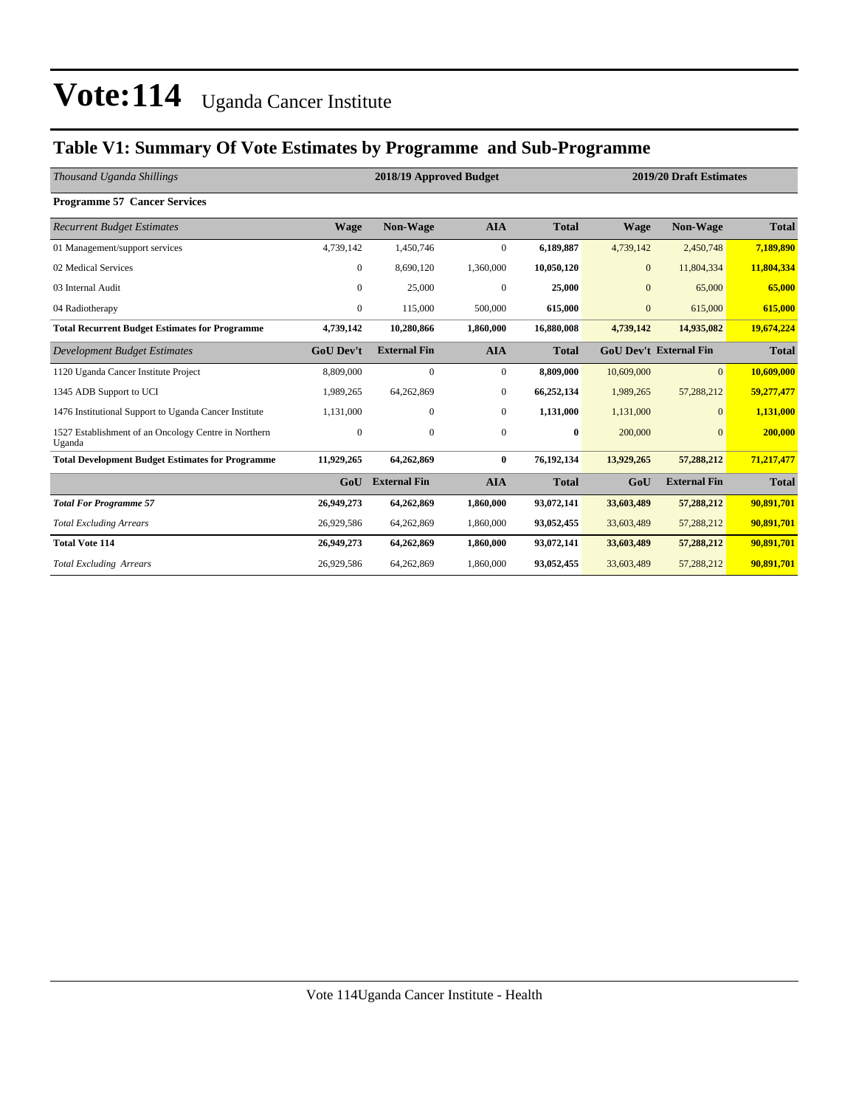### **Table V1: Summary Of Vote Estimates by Programme and Sub-Programme**

| Thousand Uganda Shillings                                      |                  | 2018/19 Approved Budget |              |              | 2019/20 Draft Estimates       |                     |              |  |
|----------------------------------------------------------------|------------------|-------------------------|--------------|--------------|-------------------------------|---------------------|--------------|--|
| <b>Programme 57 Cancer Services</b>                            |                  |                         |              |              |                               |                     |              |  |
| <b>Recurrent Budget Estimates</b>                              | <b>Wage</b>      | <b>Non-Wage</b>         | <b>AIA</b>   | <b>Total</b> | <b>Wage</b>                   | <b>Non-Wage</b>     | <b>Total</b> |  |
| 01 Management/support services                                 | 4,739,142        | 1,450,746               | $\mathbf{0}$ | 6,189,887    | 4,739,142                     | 2,450,748           | 7,189,890    |  |
| 02 Medical Services                                            | $\mathbf{0}$     | 8,690,120               | 1,360,000    | 10,050,120   | $\mathbf{0}$                  | 11,804,334          | 11,804,334   |  |
| 03 Internal Audit                                              | $\overline{0}$   | 25,000                  | $\mathbf{0}$ | 25,000       | $\overline{0}$                | 65,000              | 65,000       |  |
| 04 Radiotherapy                                                | $\mathbf{0}$     | 115,000                 | 500,000      | 615,000      | $\mathbf{0}$                  | 615,000             | 615,000      |  |
| <b>Total Recurrent Budget Estimates for Programme</b>          | 4,739,142        | 10,280,866              | 1,860,000    | 16,880,008   | 4,739,142                     | 14,935,082          | 19,674,224   |  |
| Development Budget Estimates                                   | <b>GoU Dev't</b> | <b>External Fin</b>     | <b>AIA</b>   | <b>Total</b> | <b>GoU Dev't External Fin</b> |                     | <b>Total</b> |  |
| 1120 Uganda Cancer Institute Project                           | 8,809,000        | $\mathbf{0}$            | $\mathbf{0}$ | 8.809.000    | 10,609,000                    | $\Omega$            | 10,609,000   |  |
| 1345 ADB Support to UCI                                        | 1,989,265        | 64,262,869              | $\mathbf{0}$ | 66,252,134   | 1,989,265                     | 57,288,212          | 59,277,477   |  |
| 1476 Institutional Support to Uganda Cancer Institute          | 1,131,000        | 0                       | $\mathbf{0}$ | 1,131,000    | 1,131,000                     | $\mathbf{0}$        | 1,131,000    |  |
| 1527 Establishment of an Oncology Centre in Northern<br>Uganda | $\mathbf{0}$     | $\mathbf{0}$            | $\mathbf{0}$ | $\bf{0}$     | 200,000                       | $\Omega$            | 200,000      |  |
| <b>Total Development Budget Estimates for Programme</b>        | 11,929,265       | 64,262,869              | $\bf{0}$     | 76,192,134   | 13,929,265                    | 57,288,212          | 71,217,477   |  |
|                                                                | GoU              | <b>External Fin</b>     | <b>AIA</b>   | <b>Total</b> | GoU                           | <b>External Fin</b> | <b>Total</b> |  |
| <b>Total For Programme 57</b>                                  | 26,949,273       | 64,262,869              | 1,860,000    | 93,072,141   | 33,603,489                    | 57,288,212          | 90,891,701   |  |
| <b>Total Excluding Arrears</b>                                 | 26,929,586       | 64,262,869              | 1,860,000    | 93,052,455   | 33,603,489                    | 57,288,212          | 90,891,701   |  |
| <b>Total Vote 114</b>                                          | 26,949,273       | 64,262,869              | 1,860,000    | 93,072,141   | 33,603,489                    | 57,288,212          | 90,891,701   |  |
| <b>Total Excluding Arrears</b>                                 | 26,929,586       | 64,262,869              | 1,860,000    | 93,052,455   | 33,603,489                    | 57,288,212          | 90,891,701   |  |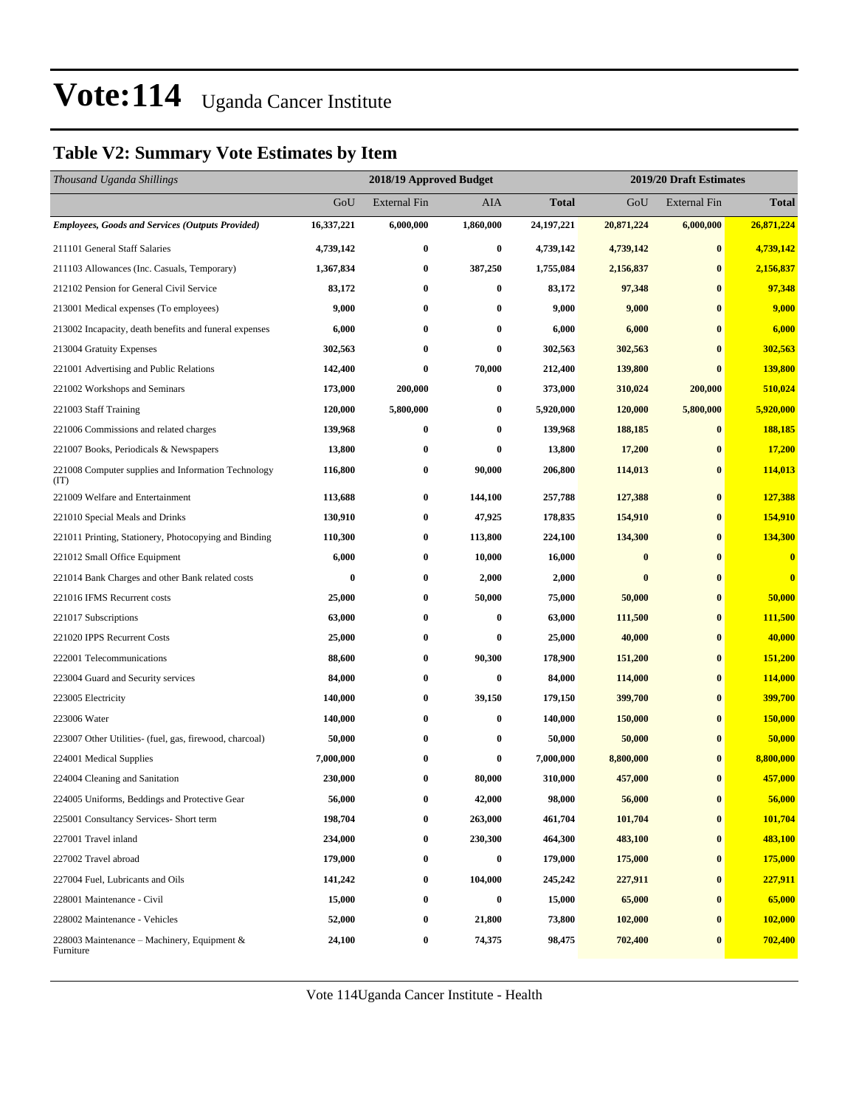### **Table V2: Summary Vote Estimates by Item**

| Thousand Uganda Shillings                                   |            | 2018/19 Approved Budget |                  |              | 2019/20 Draft Estimates |                     |              |  |
|-------------------------------------------------------------|------------|-------------------------|------------------|--------------|-------------------------|---------------------|--------------|--|
|                                                             | GoU        | <b>External Fin</b>     | <b>AIA</b>       | <b>Total</b> | GoU                     | <b>External Fin</b> | <b>Total</b> |  |
| <b>Employees, Goods and Services (Outputs Provided)</b>     | 16,337,221 | 6,000,000               | 1,860,000        | 24, 197, 221 | 20,871,224              | 6,000,000           | 26,871,224   |  |
| 211101 General Staff Salaries                               | 4,739,142  | $\bf{0}$                | $\bf{0}$         | 4,739,142    | 4,739,142               | $\bf{0}$            | 4,739,142    |  |
| 211103 Allowances (Inc. Casuals, Temporary)                 | 1,367,834  | $\bf{0}$                | 387,250          | 1,755,084    | 2,156,837               | $\bf{0}$            | 2,156,837    |  |
| 212102 Pension for General Civil Service                    | 83,172     | 0                       | 0                | 83,172       | 97,348                  | $\bf{0}$            | 97,348       |  |
| 213001 Medical expenses (To employees)                      | 9,000      | $\bf{0}$                | 0                | 9,000        | 9,000                   | $\bf{0}$            | 9,000        |  |
| 213002 Incapacity, death benefits and funeral expenses      | 6,000      | $\bf{0}$                | 0                | 6,000        | 6,000                   | $\bf{0}$            | 6,000        |  |
| 213004 Gratuity Expenses                                    | 302,563    | $\bf{0}$                | $\bf{0}$         | 302,563      | 302,563                 | $\bf{0}$            | 302,563      |  |
| 221001 Advertising and Public Relations                     | 142,400    | $\bf{0}$                | 70,000           | 212,400      | 139,800                 | $\bf{0}$            | 139,800      |  |
| 221002 Workshops and Seminars                               | 173,000    | 200,000                 | 0                | 373,000      | 310,024                 | 200,000             | 510,024      |  |
| 221003 Staff Training                                       | 120,000    | 5,800,000               | 0                | 5,920,000    | 120,000                 | 5,800,000           | 5,920,000    |  |
| 221006 Commissions and related charges                      | 139,968    | 0                       | 0                | 139,968      | 188,185                 | $\bf{0}$            | 188,185      |  |
| 221007 Books, Periodicals & Newspapers                      | 13,800     | $\bf{0}$                | $\bf{0}$         | 13,800       | 17,200                  | $\bf{0}$            | 17,200       |  |
| 221008 Computer supplies and Information Technology<br>(IT) | 116,800    | $\bf{0}$                | 90,000           | 206,800      | 114,013                 | $\bf{0}$            | 114,013      |  |
| 221009 Welfare and Entertainment                            | 113,688    | $\bf{0}$                | 144,100          | 257,788      | 127,388                 | $\bf{0}$            | 127,388      |  |
| 221010 Special Meals and Drinks                             | 130,910    | $\bf{0}$                | 47,925           | 178,835      | 154,910                 | $\bf{0}$            | 154,910      |  |
| 221011 Printing, Stationery, Photocopying and Binding       | 110,300    | $\bf{0}$                | 113,800          | 224,100      | 134,300                 | $\bf{0}$            | 134,300      |  |
| 221012 Small Office Equipment                               | 6,000      | $\bf{0}$                | 10,000           | 16,000       | $\bf{0}$                | $\bf{0}$            | $\bf{0}$     |  |
| 221014 Bank Charges and other Bank related costs            | $\bf{0}$   | $\bf{0}$                | 2,000            | 2,000        | $\bf{0}$                | $\bf{0}$            | $\bf{0}$     |  |
| 221016 IFMS Recurrent costs                                 | 25,000     | $\bf{0}$                | 50,000           | 75,000       | 50,000                  | $\bf{0}$            | 50,000       |  |
| 221017 Subscriptions                                        | 63,000     | $\bf{0}$                | 0                | 63,000       | 111,500                 | $\bf{0}$            | 111,500      |  |
| 221020 IPPS Recurrent Costs                                 | 25,000     | $\bf{0}$                | 0                | 25,000       | 40,000                  | $\bf{0}$            | 40,000       |  |
| 222001 Telecommunications                                   | 88,600     | $\bf{0}$                | 90,300           | 178,900      | 151,200                 | $\bf{0}$            | 151,200      |  |
| 223004 Guard and Security services                          | 84,000     | $\bf{0}$                | $\bf{0}$         | 84,000       | 114,000                 | $\bf{0}$            | 114,000      |  |
| 223005 Electricity                                          | 140,000    | $\bf{0}$                | 39,150           | 179,150      | 399,700                 | $\bf{0}$            | 399,700      |  |
| 223006 Water                                                | 140,000    | $\bf{0}$                | 0                | 140,000      | 150,000                 | $\bf{0}$            | 150,000      |  |
| 223007 Other Utilities- (fuel, gas, firewood, charcoal)     | 50,000     | $\bf{0}$                | 0                | 50,000       | 50,000                  | $\bf{0}$            | 50,000       |  |
| 224001 Medical Supplies                                     | 7,000,000  | 0                       | 0                | 7,000,000    | 8,800,000               | $\bf{0}$            | 8,800,000    |  |
| 224004 Cleaning and Sanitation                              | 230,000    | $\bf{0}$                | 80,000           | 310,000      | 457,000                 | $\bf{0}$            | 457,000      |  |
| 224005 Uniforms, Beddings and Protective Gear               | 56,000     | $\bf{0}$                | 42,000           | 98,000       | 56,000                  | $\pmb{0}$           | 56,000       |  |
| 225001 Consultancy Services- Short term                     | 198,704    | $\bf{0}$                | 263,000          | 461,704      | 101,704                 | $\bf{0}$            | 101,704      |  |
| 227001 Travel inland                                        | 234,000    | $\bf{0}$                | 230,300          | 464,300      | 483,100                 | $\bf{0}$            | 483,100      |  |
| 227002 Travel abroad                                        | 179,000    | $\boldsymbol{0}$        | $\boldsymbol{0}$ | 179,000      | 175,000                 | $\bf{0}$            | 175,000      |  |
| 227004 Fuel, Lubricants and Oils                            | 141,242    | $\bf{0}$                | 104,000          | 245,242      | 227,911                 | $\bf{0}$            | 227,911      |  |
| 228001 Maintenance - Civil                                  | 15,000     | $\bf{0}$                | $\bf{0}$         | 15,000       | 65,000                  | $\bf{0}$            | 65,000       |  |
| 228002 Maintenance - Vehicles                               | 52,000     | $\bf{0}$                | 21,800           | 73,800       | 102,000                 | $\bf{0}$            | 102,000      |  |
| 228003 Maintenance - Machinery, Equipment &<br>Furniture    | 24,100     | $\bf{0}$                | 74,375           | 98,475       | 702,400                 | $\bf{0}$            | 702,400      |  |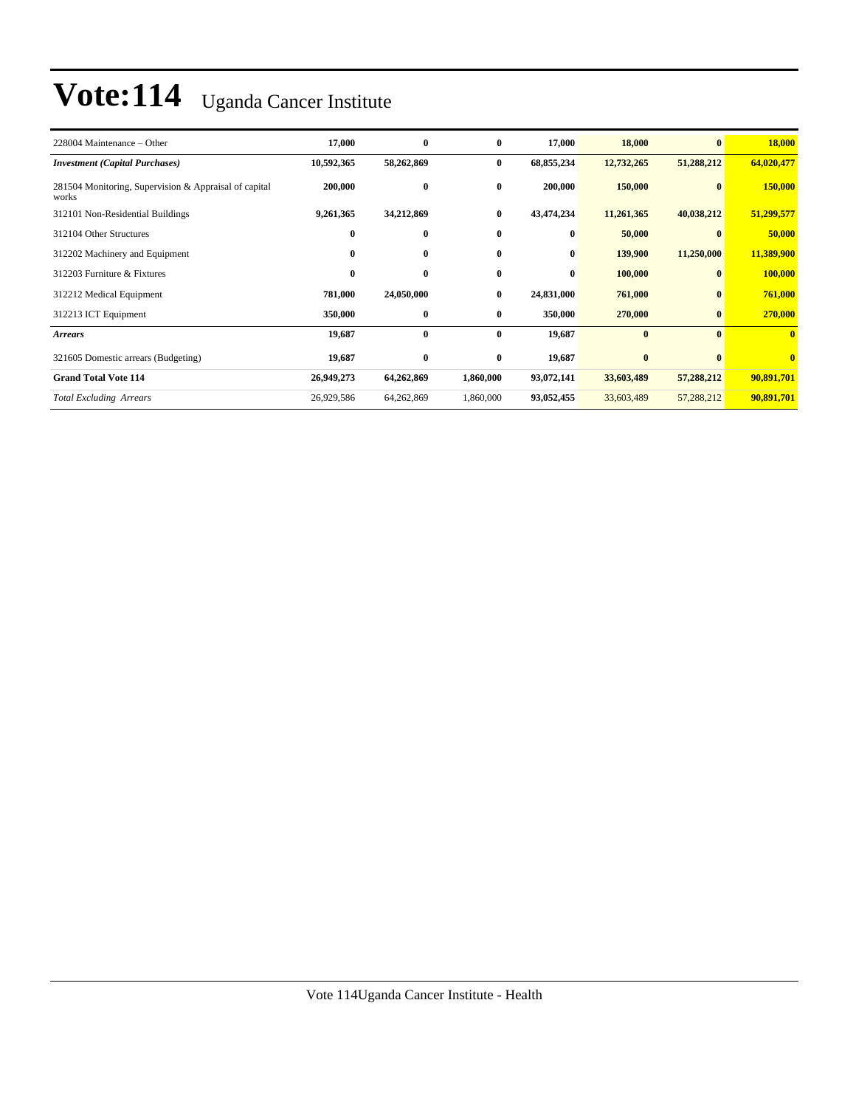| 228004 Maintenance – Other                                     | 17,000     | $\bf{0}$   | $\bf{0}$     | 17,000     | 18,000     | $\mathbf{0}$ | 18,000       |
|----------------------------------------------------------------|------------|------------|--------------|------------|------------|--------------|--------------|
| <b>Investment</b> (Capital Purchases)                          | 10,592,365 | 58,262,869 | $\bf{0}$     | 68,855,234 | 12,732,265 | 51,288,212   | 64,020,477   |
| 281504 Monitoring, Supervision & Appraisal of capital<br>works | 200,000    | $\bf{0}$   | $\bf{0}$     | 200,000    | 150,000    | $\mathbf{0}$ | 150,000      |
| 312101 Non-Residential Buildings                               | 9,261,365  | 34,212,869 | $\bf{0}$     | 43,474,234 | 11,261,365 | 40,038,212   | 51,299,577   |
| 312104 Other Structures                                        | $\bf{0}$   | $\bf{0}$   | $\mathbf{0}$ | $\bf{0}$   | 50,000     |              | 50,000       |
| 312202 Machinery and Equipment                                 | $\bf{0}$   | $\bf{0}$   | $\bf{0}$     | $\bf{0}$   | 139,900    | 11,250,000   | 11,389,900   |
| 312203 Furniture & Fixtures                                    | $\bf{0}$   | $\bf{0}$   | $\mathbf{0}$ | $\bf{0}$   | 100,000    | $\bf{0}$     | 100,000      |
| 312212 Medical Equipment                                       | 781,000    | 24,050,000 | $\bf{0}$     | 24,831,000 | 761,000    | $\bf{0}$     | 761,000      |
| 312213 ICT Equipment                                           | 350,000    | $\bf{0}$   | $\bf{0}$     | 350,000    | 270,000    | $\bf{0}$     | 270,000      |
| <b>Arrears</b>                                                 | 19,687     | $\bf{0}$   | $\bf{0}$     | 19,687     | $\bf{0}$   | $\mathbf{0}$ | $\mathbf{0}$ |
| 321605 Domestic arrears (Budgeting)                            | 19,687     | $\bf{0}$   | $\bf{0}$     | 19,687     | $\bf{0}$   | $\mathbf{0}$ | $\mathbf{0}$ |
| <b>Grand Total Vote 114</b>                                    | 26,949,273 | 64,262,869 | 1,860,000    | 93,072,141 | 33,603,489 | 57,288,212   | 90,891,701   |
| <b>Total Excluding Arrears</b>                                 | 26,929,586 | 64,262,869 | 1,860,000    | 93,052,455 | 33,603,489 | 57,288,212   | 90,891,701   |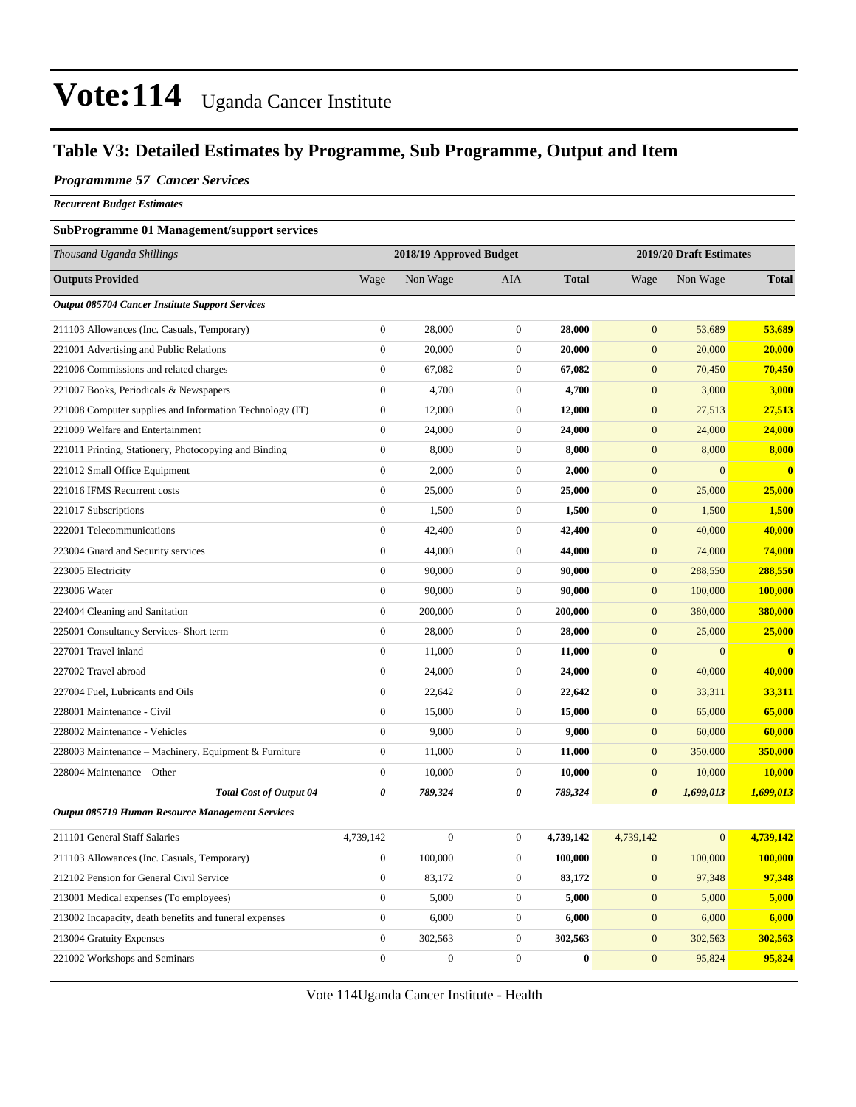### **Table V3: Detailed Estimates by Programme, Sub Programme, Output and Item**

### *Programmme 57 Cancer Services*

*Recurrent Budget Estimates*

### **SubProgramme 01 Management/support services**

| Thousand Uganda Shillings                                |                  | 2018/19 Approved Budget |                  |              |                       | 2019/20 Draft Estimates |                |
|----------------------------------------------------------|------------------|-------------------------|------------------|--------------|-----------------------|-------------------------|----------------|
| <b>Outputs Provided</b>                                  | Wage             | Non Wage                | AIA              | <b>Total</b> | Wage                  | Non Wage                | <b>Total</b>   |
| Output 085704 Cancer Institute Support Services          |                  |                         |                  |              |                       |                         |                |
| 211103 Allowances (Inc. Casuals, Temporary)              | $\boldsymbol{0}$ | 28,000                  | $\boldsymbol{0}$ | 28,000       | $\mathbf{0}$          | 53,689                  | 53,689         |
| 221001 Advertising and Public Relations                  | $\boldsymbol{0}$ | 20,000                  | $\boldsymbol{0}$ | 20,000       | $\mathbf{0}$          | 20,000                  | 20,000         |
| 221006 Commissions and related charges                   | $\boldsymbol{0}$ | 67,082                  | $\boldsymbol{0}$ | 67,082       | $\mathbf{0}$          | 70,450                  | 70,450         |
| 221007 Books, Periodicals & Newspapers                   | $\boldsymbol{0}$ | 4,700                   | $\boldsymbol{0}$ | 4,700        | $\mathbf{0}$          | 3,000                   | 3,000          |
| 221008 Computer supplies and Information Technology (IT) | $\boldsymbol{0}$ | 12,000                  | $\boldsymbol{0}$ | 12,000       | $\boldsymbol{0}$      | 27,513                  | 27,513         |
| 221009 Welfare and Entertainment                         | $\boldsymbol{0}$ | 24,000                  | $\boldsymbol{0}$ | 24,000       | $\mathbf{0}$          | 24,000                  | 24,000         |
| 221011 Printing, Stationery, Photocopying and Binding    | $\boldsymbol{0}$ | 8,000                   | $\boldsymbol{0}$ | 8,000        | $\mathbf{0}$          | 8,000                   | 8,000          |
| 221012 Small Office Equipment                            | $\boldsymbol{0}$ | 2,000                   | $\boldsymbol{0}$ | 2,000        | $\mathbf{0}$          | $\mathbf{0}$            | $\mathbf{0}$   |
| 221016 IFMS Recurrent costs                              | $\boldsymbol{0}$ | 25,000                  | $\boldsymbol{0}$ | 25,000       | $\mathbf{0}$          | 25,000                  | 25,000         |
| 221017 Subscriptions                                     | $\boldsymbol{0}$ | 1,500                   | $\boldsymbol{0}$ | 1,500        | $\boldsymbol{0}$      | 1,500                   | 1,500          |
| 222001 Telecommunications                                | $\boldsymbol{0}$ | 42,400                  | $\boldsymbol{0}$ | 42,400       | $\mathbf{0}$          | 40,000                  | 40,000         |
| 223004 Guard and Security services                       | $\boldsymbol{0}$ | 44,000                  | $\boldsymbol{0}$ | 44,000       | $\mathbf{0}$          | 74,000                  | 74,000         |
| 223005 Electricity                                       | $\boldsymbol{0}$ | 90,000                  | $\boldsymbol{0}$ | 90,000       | $\boldsymbol{0}$      | 288,550                 | 288,550        |
| 223006 Water                                             | $\boldsymbol{0}$ | 90,000                  | $\boldsymbol{0}$ | 90,000       | $\mathbf{0}$          | 100,000                 | <b>100,000</b> |
| 224004 Cleaning and Sanitation                           | $\boldsymbol{0}$ | 200,000                 | $\boldsymbol{0}$ | 200,000      | $\mathbf{0}$          | 380,000                 | 380,000        |
| 225001 Consultancy Services- Short term                  | $\boldsymbol{0}$ | 28,000                  | $\boldsymbol{0}$ | 28,000       | $\mathbf{0}$          | 25,000                  | 25,000         |
| 227001 Travel inland                                     | $\boldsymbol{0}$ | 11,000                  | $\boldsymbol{0}$ | 11,000       | $\mathbf{0}$          | $\mathbf{0}$            | $\mathbf{0}$   |
| 227002 Travel abroad                                     | $\boldsymbol{0}$ | 24,000                  | $\boldsymbol{0}$ | 24,000       | $\mathbf{0}$          | 40,000                  | 40,000         |
| 227004 Fuel, Lubricants and Oils                         | $\boldsymbol{0}$ | 22,642                  | $\boldsymbol{0}$ | 22,642       | $\mathbf{0}$          | 33,311                  | 33,311         |
| 228001 Maintenance - Civil                               | $\boldsymbol{0}$ | 15,000                  | $\boldsymbol{0}$ | 15,000       | $\boldsymbol{0}$      | 65,000                  | 65,000         |
| 228002 Maintenance - Vehicles                            | $\boldsymbol{0}$ | 9,000                   | $\boldsymbol{0}$ | 9,000        | $\boldsymbol{0}$      | 60,000                  | 60,000         |
| 228003 Maintenance - Machinery, Equipment & Furniture    | $\boldsymbol{0}$ | 11,000                  | $\boldsymbol{0}$ | 11,000       | $\mathbf{0}$          | 350,000                 | 350,000        |
| 228004 Maintenance – Other                               | $\boldsymbol{0}$ | 10,000                  | $\boldsymbol{0}$ | 10,000       | $\mathbf{0}$          | 10,000                  | 10,000         |
| <b>Total Cost of Output 04</b>                           | 0                | 789,324                 | 0                | 789,324      | $\boldsymbol{\theta}$ | 1,699,013               | 1,699,013      |
| <b>Output 085719 Human Resource Management Services</b>  |                  |                         |                  |              |                       |                         |                |
| 211101 General Staff Salaries                            | 4,739,142        | $\boldsymbol{0}$        | $\boldsymbol{0}$ | 4,739,142    | 4,739,142             | $\mathbf{0}$            | 4,739,142      |
| 211103 Allowances (Inc. Casuals, Temporary)              | $\boldsymbol{0}$ | 100,000                 | $\boldsymbol{0}$ | 100,000      | $\boldsymbol{0}$      | 100,000                 | 100,000        |
| 212102 Pension for General Civil Service                 | $\boldsymbol{0}$ | 83,172                  | $\mathbf{0}$     | 83,172       | $\mathbf{0}$          | 97,348                  | 97,348         |
| 213001 Medical expenses (To employees)                   | $\boldsymbol{0}$ | 5,000                   | $\boldsymbol{0}$ | 5,000        | $\mathbf{0}$          | 5,000                   | 5,000          |
| 213002 Incapacity, death benefits and funeral expenses   | $\boldsymbol{0}$ | 6,000                   | $\boldsymbol{0}$ | 6,000        | $\mathbf{0}$          | 6,000                   | 6,000          |
| 213004 Gratuity Expenses                                 | $\boldsymbol{0}$ | 302,563                 | $\boldsymbol{0}$ | 302,563      | $\mathbf{0}$          | 302,563                 | 302,563        |
| 221002 Workshops and Seminars                            | $\boldsymbol{0}$ | $\boldsymbol{0}$        | $\boldsymbol{0}$ | $\bf{0}$     | $\mathbf{0}$          | 95,824                  | 95,824         |

Vote 114Uganda Cancer Institute - Health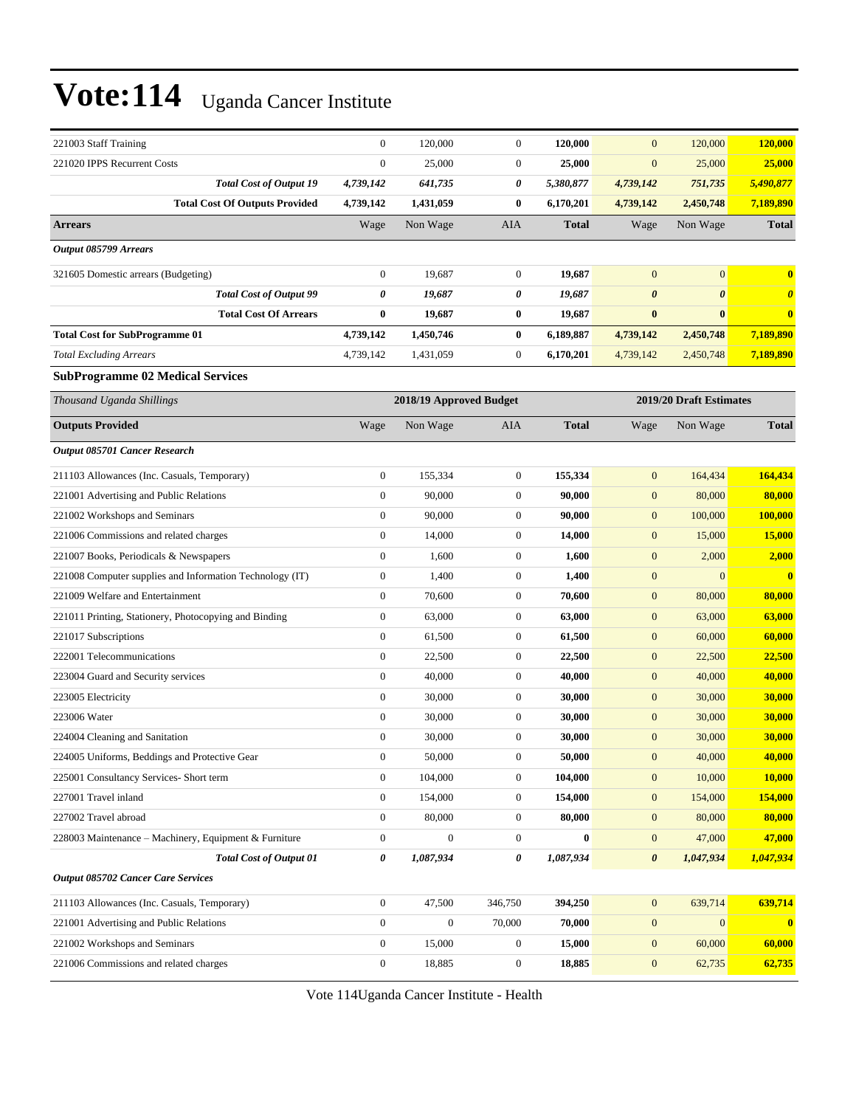| 221003 Staff Training                                    |                                | $\mathbf{0}$          | 120,000                 | $\boldsymbol{0}$ | 120,000      | $\mathbf{0}$          | 120,000                 | 120,000               |
|----------------------------------------------------------|--------------------------------|-----------------------|-------------------------|------------------|--------------|-----------------------|-------------------------|-----------------------|
| 221020 IPPS Recurrent Costs                              |                                | $\mathbf{0}$          | 25,000                  | $\mathbf{0}$     | 25,000       | $\boldsymbol{0}$      | 25,000                  | 25,000                |
|                                                          | <b>Total Cost of Output 19</b> | 4,739,142             | 641,735                 | 0                | 5,380,877    | 4,739,142             | 751,735                 | 5,490,877             |
| <b>Total Cost Of Outputs Provided</b>                    |                                | 4,739,142             | 1,431,059               | $\bf{0}$         | 6,170,201    | 4,739,142             | 2,450,748               | 7,189,890             |
| <b>Arrears</b>                                           |                                | Wage                  | Non Wage                | AIA              | <b>Total</b> | Wage                  | Non Wage                | <b>Total</b>          |
| Output 085799 Arrears                                    |                                |                       |                         |                  |              |                       |                         |                       |
| 321605 Domestic arrears (Budgeting)                      |                                | $\boldsymbol{0}$      | 19,687                  | $\mathbf{0}$     | 19,687       | $\overline{0}$        | $\mathbf{0}$            | $\bf{0}$              |
|                                                          | <b>Total Cost of Output 99</b> | $\boldsymbol{\theta}$ | 19,687                  | 0                | 19,687       | $\boldsymbol{\theta}$ | $\boldsymbol{\theta}$   | $\boldsymbol{\theta}$ |
|                                                          | <b>Total Cost Of Arrears</b>   | $\bf{0}$              | 19,687                  | $\bf{0}$         | 19,687       | $\bf{0}$              | $\bf{0}$                | $\mathbf{0}$          |
| <b>Total Cost for SubProgramme 01</b>                    |                                | 4,739,142             | 1,450,746               | $\bf{0}$         | 6,189,887    | 4,739,142             | 2,450,748               | 7,189,890             |
| <b>Total Excluding Arrears</b>                           |                                | 4,739,142             | 1,431,059               | $\mathbf{0}$     | 6,170,201    | 4,739,142             | 2,450,748               | 7,189,890             |
| <b>SubProgramme 02 Medical Services</b>                  |                                |                       |                         |                  |              |                       |                         |                       |
| Thousand Uganda Shillings                                |                                |                       | 2018/19 Approved Budget |                  |              |                       | 2019/20 Draft Estimates |                       |
|                                                          |                                |                       |                         |                  |              |                       |                         |                       |
| <b>Outputs Provided</b>                                  |                                | Wage                  | Non Wage                | AIA              | <b>Total</b> | Wage                  | Non Wage                | <b>Total</b>          |
| Output 085701 Cancer Research                            |                                |                       |                         |                  |              |                       |                         |                       |
| 211103 Allowances (Inc. Casuals, Temporary)              |                                | $\boldsymbol{0}$      | 155,334                 | $\mathbf{0}$     | 155,334      | $\mathbf{0}$          | 164,434                 | 164,434               |
| 221001 Advertising and Public Relations                  |                                | $\mathbf{0}$          | 90,000                  | $\boldsymbol{0}$ | 90,000       | $\boldsymbol{0}$      | 80,000                  | 80,000                |
| 221002 Workshops and Seminars                            |                                | $\boldsymbol{0}$      | 90,000                  | $\boldsymbol{0}$ | 90,000       | $\boldsymbol{0}$      | 100,000                 | 100,000               |
| 221006 Commissions and related charges                   |                                | $\boldsymbol{0}$      | 14,000                  | $\mathbf{0}$     | 14,000       | $\boldsymbol{0}$      | 15,000                  | 15,000                |
| 221007 Books, Periodicals & Newspapers                   |                                | $\boldsymbol{0}$      | 1,600                   | $\mathbf{0}$     | 1,600        | $\mathbf{0}$          | 2,000                   | 2,000                 |
| 221008 Computer supplies and Information Technology (IT) |                                | $\boldsymbol{0}$      | 1,400                   | $\boldsymbol{0}$ | 1,400        | $\boldsymbol{0}$      | $\mathbf{0}$            | $\bf{0}$              |
| 221009 Welfare and Entertainment                         |                                | $\boldsymbol{0}$      | 70,600                  | $\boldsymbol{0}$ | 70,600       | $\boldsymbol{0}$      | 80,000                  | 80,000                |
| 221011 Printing, Stationery, Photocopying and Binding    |                                | $\mathbf{0}$          | 63,000                  | $\boldsymbol{0}$ | 63,000       | $\boldsymbol{0}$      | 63,000                  | 63,000                |
| 221017 Subscriptions                                     |                                | $\boldsymbol{0}$      | 61,500                  | $\boldsymbol{0}$ | 61,500       | $\boldsymbol{0}$      | 60,000                  | 60,000                |
| 222001 Telecommunications                                |                                | $\boldsymbol{0}$      | 22,500                  | $\mathbf{0}$     | 22,500       | $\boldsymbol{0}$      | 22,500                  | 22,500                |
| 223004 Guard and Security services                       |                                | $\boldsymbol{0}$      | 40,000                  | $\boldsymbol{0}$ | 40,000       | $\boldsymbol{0}$      | 40,000                  | 40,000                |
| 223005 Electricity                                       |                                | $\boldsymbol{0}$      | 30,000                  | $\boldsymbol{0}$ | 30,000       | $\boldsymbol{0}$      | 30,000                  | 30,000                |
| 223006 Water                                             |                                | $\boldsymbol{0}$      | 30,000                  | $\boldsymbol{0}$ | 30,000       | $\boldsymbol{0}$      | 30,000                  | 30,000                |
| 224004 Cleaning and Sanitation                           |                                | $\boldsymbol{0}$      | 30,000                  | $\boldsymbol{0}$ | 30,000       | $\mathbf{0}$          | 30,000                  | 30,000                |
| 224005 Uniforms, Beddings and Protective Gear            |                                | $\boldsymbol{0}$      | 50,000                  | $\boldsymbol{0}$ | 50,000       | $\boldsymbol{0}$      | 40,000                  | 40,000                |
| 225001 Consultancy Services- Short term                  |                                | $\boldsymbol{0}$      | 104,000                 | $\mathbf{0}$     | 104,000      | $\boldsymbol{0}$      | 10,000                  | 10,000                |
| 227001 Travel inland                                     |                                | $\boldsymbol{0}$      | 154,000                 | $\boldsymbol{0}$ | 154,000      | $\boldsymbol{0}$      | 154,000                 | 154,000               |
| 227002 Travel abroad                                     |                                | $\boldsymbol{0}$      | 80,000                  | $\boldsymbol{0}$ | 80,000       | $\boldsymbol{0}$      | 80,000                  | 80,000                |
| 228003 Maintenance - Machinery, Equipment & Furniture    |                                | $\boldsymbol{0}$      | $\boldsymbol{0}$        | $\boldsymbol{0}$ | $\bf{0}$     | $\boldsymbol{0}$      | 47,000                  | 47,000                |
|                                                          | <b>Total Cost of Output 01</b> | 0                     | 1,087,934               | 0                | 1,087,934    | 0                     | 1,047,934               | 1,047,934             |
| Output 085702 Cancer Care Services                       |                                |                       |                         |                  |              |                       |                         |                       |
| 211103 Allowances (Inc. Casuals, Temporary)              |                                | $\boldsymbol{0}$      | 47,500                  | 346,750          | 394,250      | $\mathbf{0}$          | 639,714                 | 639,714               |
| 221001 Advertising and Public Relations                  |                                | $\boldsymbol{0}$      | $\boldsymbol{0}$        | 70,000           | 70,000       | $\boldsymbol{0}$      | $\boldsymbol{0}$        | $\bf{0}$              |
| 221002 Workshops and Seminars                            |                                | $\boldsymbol{0}$      | 15,000                  | $\boldsymbol{0}$ | 15,000       | $\boldsymbol{0}$      | 60,000                  | 60,000                |
| 221006 Commissions and related charges                   |                                | $\boldsymbol{0}$      | 18,885                  | $\boldsymbol{0}$ | 18,885       | $\boldsymbol{0}$      | 62,735                  | 62,735                |

Vote 114Uganda Cancer Institute - Health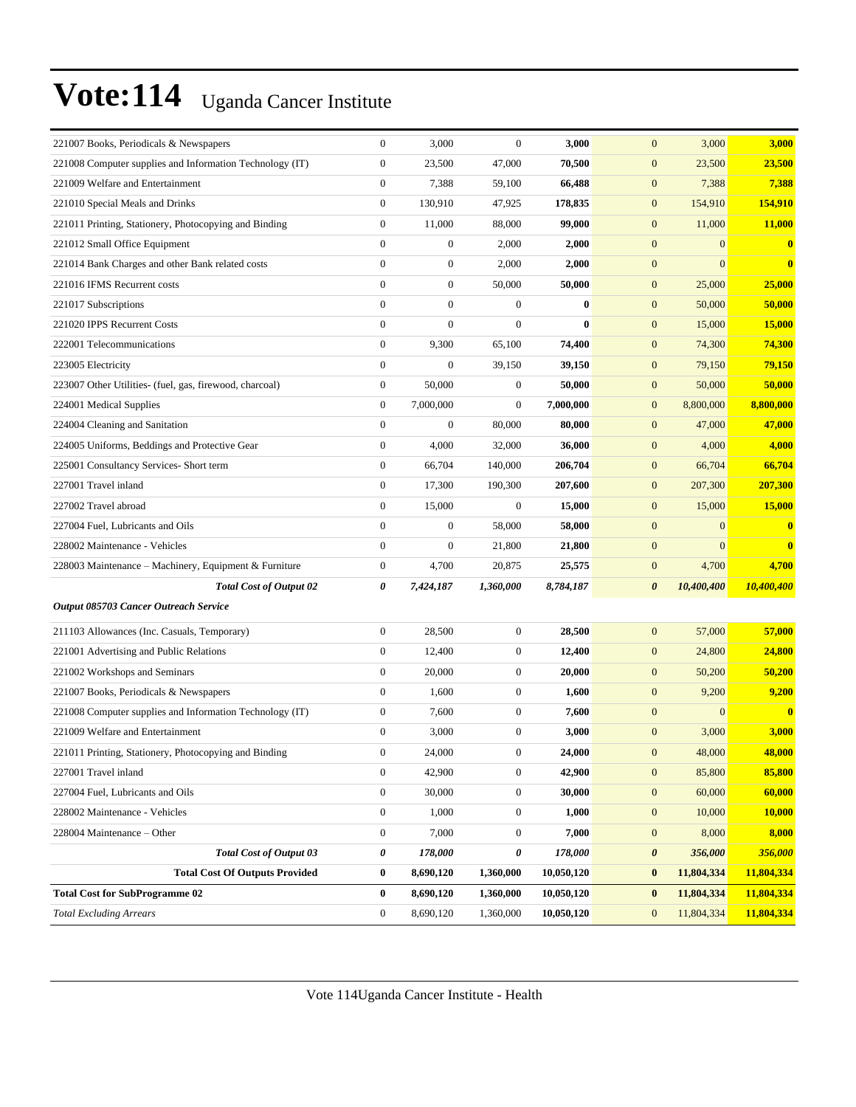| 221007 Books, Periodicals & Newspapers                   | $\boldsymbol{0}$ | 3,000            | $\mathbf{0}$     | 3,000      | $\mathbf{0}$<br>3,000               | 3,000      |
|----------------------------------------------------------|------------------|------------------|------------------|------------|-------------------------------------|------------|
| 221008 Computer supplies and Information Technology (IT) | $\boldsymbol{0}$ | 23,500           | 47,000           | 70,500     | $\mathbf{0}$<br>23,500              | 23,500     |
| 221009 Welfare and Entertainment                         | $\boldsymbol{0}$ | 7,388            | 59,100           | 66,488     | $\mathbf{0}$<br>7,388               | 7,388      |
| 221010 Special Meals and Drinks                          | $\boldsymbol{0}$ | 130,910          | 47,925           | 178.835    | $\boldsymbol{0}$<br>154,910         | 154,910    |
| 221011 Printing, Stationery, Photocopying and Binding    | $\boldsymbol{0}$ | 11,000           | 88,000           | 99,000     | $\mathbf{0}$<br>11,000              | 11,000     |
| 221012 Small Office Equipment                            | $\overline{0}$   | $\boldsymbol{0}$ | 2,000            | 2,000      | $\mathbf{0}$<br>$\mathbf{0}$        | $\bf{0}$   |
| 221014 Bank Charges and other Bank related costs         | $\boldsymbol{0}$ | $\boldsymbol{0}$ | 2,000            | 2,000      | $\mathbf{0}$<br>$\mathbf{0}$        | $\bf{0}$   |
| 221016 IFMS Recurrent costs                              | $\boldsymbol{0}$ | $\boldsymbol{0}$ | 50,000           | 50,000     | $\mathbf{0}$<br>25,000              | 25,000     |
| 221017 Subscriptions                                     | $\overline{0}$   | $\boldsymbol{0}$ | $\boldsymbol{0}$ | $\bf{0}$   | $\mathbf{0}$<br>50,000              | 50,000     |
| 221020 IPPS Recurrent Costs                              | $\boldsymbol{0}$ | $\boldsymbol{0}$ | $\overline{0}$   | $\bf{0}$   | $\mathbf{0}$<br>15,000              | 15,000     |
| 222001 Telecommunications                                | $\boldsymbol{0}$ | 9,300            | 65,100           | 74,400     | $\mathbf{0}$<br>74,300              | 74,300     |
| 223005 Electricity                                       | $\boldsymbol{0}$ | $\boldsymbol{0}$ | 39,150           | 39,150     | $\mathbf{0}$<br>79,150              | 79,150     |
| 223007 Other Utilities- (fuel, gas, firewood, charcoal)  | $\boldsymbol{0}$ | 50,000           | $\mathbf{0}$     | 50,000     | $\mathbf{0}$<br>50,000              | 50,000     |
| 224001 Medical Supplies                                  | $\overline{0}$   | 7,000,000        | $\mathbf{0}$     | 7,000,000  | $\boldsymbol{0}$<br>8,800,000       | 8,800,000  |
| 224004 Cleaning and Sanitation                           | $\overline{0}$   | $\boldsymbol{0}$ | 80,000           | 80,000     | 47,000<br>$\mathbf{0}$              | 47,000     |
| 224005 Uniforms, Beddings and Protective Gear            | $\boldsymbol{0}$ | 4,000            | 32,000           | 36,000     | $\mathbf{0}$<br>4,000               | 4,000      |
| 225001 Consultancy Services- Short term                  | $\boldsymbol{0}$ | 66,704           | 140,000          | 206,704    | $\mathbf{0}$<br>66,704              | 66,704     |
| 227001 Travel inland                                     | $\boldsymbol{0}$ | 17,300           | 190,300          | 207,600    | $\mathbf{0}$<br>207,300             | 207,300    |
| 227002 Travel abroad                                     | $\boldsymbol{0}$ | 15,000           | $\mathbf{0}$     | 15,000     | $\mathbf{0}$<br>15,000              | 15,000     |
| 227004 Fuel, Lubricants and Oils                         | $\overline{0}$   | $\boldsymbol{0}$ | 58,000           | 58,000     | $\boldsymbol{0}$<br>$\mathbf{0}$    | $\bf{0}$   |
| 228002 Maintenance - Vehicles                            | $\overline{0}$   | $\boldsymbol{0}$ | 21,800           | 21,800     | $\mathbf{0}$<br>$\mathbf{0}$        | $\bf{0}$   |
| 228003 Maintenance – Machinery, Equipment & Furniture    | $\boldsymbol{0}$ | 4,700            | 20,875           | 25,575     | 4,700<br>$\mathbf{0}$               | 4,700      |
| <b>Total Cost of Output 02</b>                           | 0                | 7,424,187        | 1,360,000        | 8,784,187  | $\boldsymbol{\theta}$<br>10,400,400 | 10,400,400 |
| <b>Output 085703 Cancer Outreach Service</b>             |                  |                  |                  |            |                                     |            |
| 211103 Allowances (Inc. Casuals, Temporary)              | $\boldsymbol{0}$ | 28,500           | $\mathbf{0}$     | 28,500     | $\boldsymbol{0}$<br>57,000          | 57,000     |
| 221001 Advertising and Public Relations                  | $\boldsymbol{0}$ | 12,400           | $\mathbf{0}$     | 12,400     | 24,800<br>$\mathbf{0}$              | 24,800     |
| 221002 Workshops and Seminars                            | $\boldsymbol{0}$ | 20,000           | $\mathbf{0}$     | 20,000     | $\mathbf{0}$<br>50,200              | 50,200     |
| 221007 Books, Periodicals & Newspapers                   | $\boldsymbol{0}$ | 1,600            | $\mathbf{0}$     | 1,600      | $\mathbf{0}$<br>9,200               | 9,200      |
| 221008 Computer supplies and Information Technology (IT) | $\boldsymbol{0}$ | 7,600            | $\mathbf{0}$     | 7,600      | $\mathbf{0}$<br>$\mathbf{0}$        | $\bf{0}$   |
| 221009 Welfare and Entertainment                         | $\boldsymbol{0}$ | 3,000            | $\boldsymbol{0}$ | 3,000      | $\boldsymbol{0}$<br>3,000           | 3,000      |
| 221011 Printing, Stationery, Photocopying and Binding    | $\overline{0}$   | 24,000           | $\mathbf{0}$     | 24.000     | $\overline{0}$<br>48,000            | 48,000     |
| 227001 Travel inland                                     | $\boldsymbol{0}$ | 42,900           | $\boldsymbol{0}$ | 42,900     | $\boldsymbol{0}$<br>85,800          | 85,800     |
| 227004 Fuel, Lubricants and Oils                         | $\boldsymbol{0}$ | 30,000           | $\boldsymbol{0}$ | 30,000     | $\boldsymbol{0}$<br>60,000          | 60,000     |
| 228002 Maintenance - Vehicles                            | $\boldsymbol{0}$ | 1,000            | $\boldsymbol{0}$ | 1,000      | $\boldsymbol{0}$<br>10,000          | 10,000     |
| 228004 Maintenance - Other                               | $\boldsymbol{0}$ | 7,000            | $\mathbf{0}$     | 7,000      | $\mathbf{0}$<br>8,000               | 8,000      |
| <b>Total Cost of Output 03</b>                           | 0                | 178,000          | 0                | 178,000    | 356,000<br>$\pmb{\theta}$           | 356,000    |
| <b>Total Cost Of Outputs Provided</b>                    | $\boldsymbol{0}$ | 8,690,120        | 1,360,000        | 10,050,120 | $\bf{0}$<br>11,804,334              | 11,804,334 |
| <b>Total Cost for SubProgramme 02</b>                    | $\bf{0}$         | 8,690,120        | 1,360,000        | 10,050,120 | $\bf{0}$<br>11,804,334              | 11,804,334 |
| <b>Total Excluding Arrears</b>                           | $\boldsymbol{0}$ | 8,690,120        | 1,360,000        | 10,050,120 | $\boldsymbol{0}$<br>11,804,334      | 11,804,334 |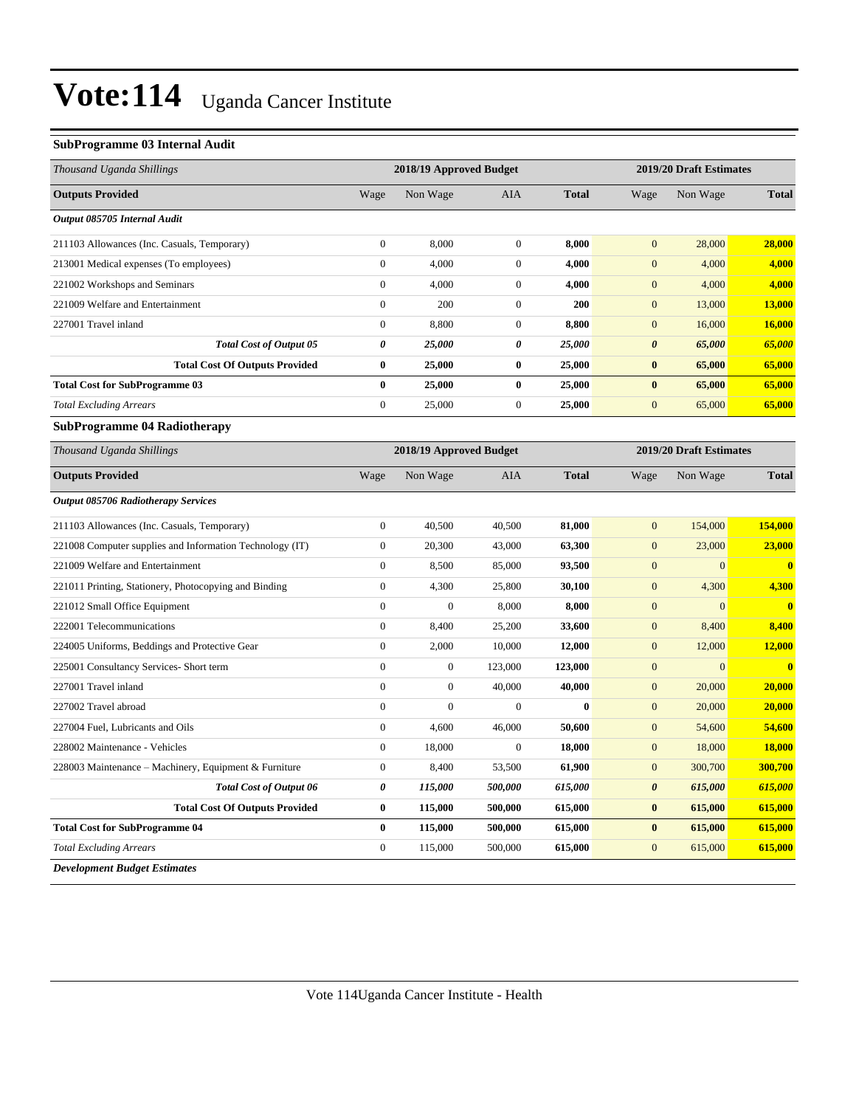### **SubProgramme 03 Internal Audit**

| Thousand Uganda Shillings                                |                                                    | 2018/19 Approved Budget |                  |              |                       | 2019/20 Draft Estimates |                         |
|----------------------------------------------------------|----------------------------------------------------|-------------------------|------------------|--------------|-----------------------|-------------------------|-------------------------|
| <b>Outputs Provided</b>                                  | Wage                                               | Non Wage                | AIA              | <b>Total</b> | Wage                  | Non Wage                | <b>Total</b>            |
| Output 085705 Internal Audit                             |                                                    |                         |                  |              |                       |                         |                         |
| 211103 Allowances (Inc. Casuals, Temporary)              | $\mathbf{0}$                                       | 8,000                   | $\mathbf{0}$     | 8,000        | $\overline{0}$        | 28,000                  | 28,000                  |
| 213001 Medical expenses (To employees)                   | $\boldsymbol{0}$                                   | 4,000                   | $\boldsymbol{0}$ | 4,000        | $\boldsymbol{0}$      | 4,000                   | 4,000                   |
| 221002 Workshops and Seminars                            | $\mathbf{0}$                                       | 4,000                   | $\boldsymbol{0}$ | 4,000        | $\boldsymbol{0}$      | 4,000                   | 4,000                   |
| 221009 Welfare and Entertainment                         | $\boldsymbol{0}$                                   | 200                     | $\boldsymbol{0}$ | 200          | $\boldsymbol{0}$      | 13,000                  | 13,000                  |
| 227001 Travel inland                                     | $\mathbf{0}$                                       | 8,800                   | $\boldsymbol{0}$ | 8,800        | $\boldsymbol{0}$      | 16,000                  | 16,000                  |
| <b>Total Cost of Output 05</b>                           | $\boldsymbol{\theta}$                              | 25,000                  | 0                | 25,000       | $\boldsymbol{\theta}$ | 65,000                  | 65,000                  |
| <b>Total Cost Of Outputs Provided</b>                    | $\bf{0}$                                           | 25,000                  | $\bf{0}$         | 25,000       | $\bf{0}$              | 65,000                  | 65,000                  |
| <b>Total Cost for SubProgramme 03</b>                    | $\bf{0}$                                           | 25,000                  | $\bf{0}$         | 25,000       | $\bf{0}$              | 65,000                  | 65,000                  |
| <b>Total Excluding Arrears</b>                           | $\boldsymbol{0}$                                   | 25,000                  | $\boldsymbol{0}$ | 25,000       | $\boldsymbol{0}$      | 65,000                  | 65,000                  |
| SubProgramme 04 Radiotherapy                             |                                                    |                         |                  |              |                       |                         |                         |
| Thousand Uganda Shillings                                | 2018/19 Approved Budget<br>2019/20 Draft Estimates |                         |                  |              |                       |                         |                         |
| <b>Outputs Provided</b>                                  | Wage                                               | Non Wage                | <b>AIA</b>       | <b>Total</b> | Wage                  | Non Wage                | <b>Total</b>            |
| <b>Output 085706 Radiotherapy Services</b>               |                                                    |                         |                  |              |                       |                         |                         |
| 211103 Allowances (Inc. Casuals, Temporary)              | $\mathbf{0}$                                       | 40,500                  | 40,500           | 81,000       | $\mathbf{0}$          | 154,000                 | 154,000                 |
| 221008 Computer supplies and Information Technology (IT) | $\mathbf{0}$                                       | 20,300                  | 43,000           | 63,300       | $\mathbf{0}$          | 23,000                  | 23,000                  |
| 221009 Welfare and Entertainment                         | $\overline{0}$                                     | 8,500                   | 85,000           | 93,500       | $\boldsymbol{0}$      | $\overline{0}$          | $\overline{\mathbf{0}}$ |
| 221011 Printing, Stationery, Photocopying and Binding    | $\boldsymbol{0}$                                   | 4,300                   | 25,800           | 30,100       | $\boldsymbol{0}$      | 4,300                   | 4,300                   |
| 221012 Small Office Equipment                            | $\boldsymbol{0}$                                   | $\boldsymbol{0}$        | 8,000            | 8,000        | $\boldsymbol{0}$      | $\mathbf{0}$            | $\mathbf{0}$            |
| 222001 Telecommunications                                | $\mathbf{0}$                                       | 8,400                   | 25,200           | 33,600       | $\boldsymbol{0}$      | 8,400                   | 8,400                   |
| 224005 Uniforms, Beddings and Protective Gear            | $\mathbf{0}$                                       | 2,000                   | 10,000           | 12,000       | $\boldsymbol{0}$      | 12,000                  | 12,000                  |
| 225001 Consultancy Services- Short term                  | $\boldsymbol{0}$                                   | $\boldsymbol{0}$        | 123,000          | 123,000      | $\mathbf{0}$          | $\mathbf{0}$            | $\overline{\mathbf{0}}$ |
| 227001 Travel inland                                     | $\mathbf{0}$                                       | $\overline{0}$          | 40,000           | 40,000       | $\mathbf{0}$          | 20,000                  | 20,000                  |
| 227002 Travel abroad                                     | $\mathbf{0}$                                       | $\overline{0}$          | $\mathbf{0}$     | $\mathbf{0}$ | $\overline{0}$        | 20,000                  | 20,000                  |
| 227004 Fuel, Lubricants and Oils                         | $\boldsymbol{0}$                                   | 4,600                   | 46,000           | 50,600       | $\mathbf{0}$          | 54,600                  | 54,600                  |
| 228002 Maintenance - Vehicles                            | $\boldsymbol{0}$                                   | 18,000                  | $\boldsymbol{0}$ | 18,000       | $\boldsymbol{0}$      | 18,000                  | 18,000                  |
| 228003 Maintenance - Machinery, Equipment & Furniture    | $\mathbf{0}$                                       | 8,400                   | 53,500           | 61,900       | $\boldsymbol{0}$      | 300,700                 | 300,700                 |
| <b>Total Cost of Output 06</b>                           | 0                                                  | 115,000                 | 500,000          | 615,000      | $\pmb{\theta}$        | 615,000                 | 615,000                 |
| <b>Total Cost Of Outputs Provided</b>                    | $\bf{0}$                                           | 115,000                 | 500,000          | 615,000      | $\bf{0}$              | 615,000                 | 615,000                 |
| <b>Total Cost for SubProgramme 04</b>                    | $\bf{0}$                                           | 115,000                 | 500,000          | 615,000      | $\bf{0}$              | 615,000                 | 615,000                 |
| <b>Total Excluding Arrears</b>                           | $\theta$                                           | 115,000                 | 500,000          | 615,000      | $\mathbf{0}$          | 615,000                 | 615,000                 |
| <b>Development Budget Estimates</b>                      |                                                    |                         |                  |              |                       |                         |                         |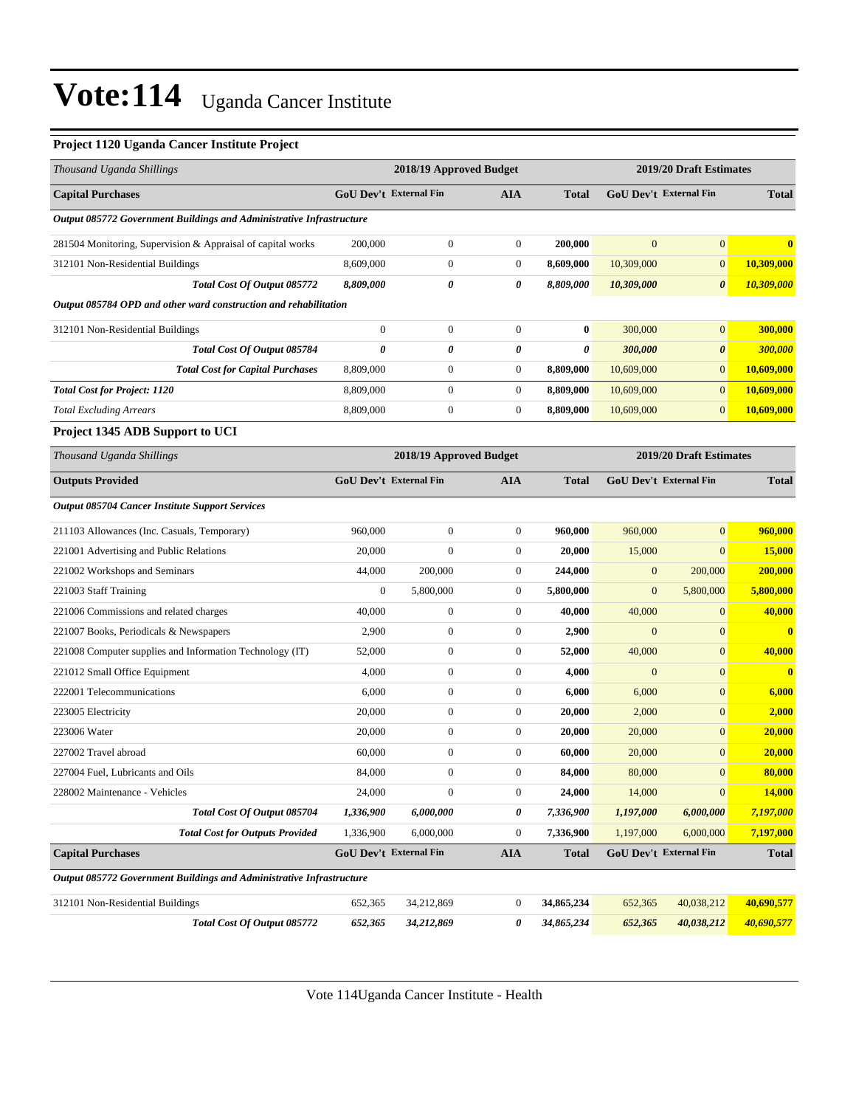#### **Project 1120 Uganda Cancer Institute Project**

| Thousand Uganda Shillings                                            | 2018/19 Approved Budget<br>2019/20 Draft Estimates |                               |                  |              |                         |                               |              |
|----------------------------------------------------------------------|----------------------------------------------------|-------------------------------|------------------|--------------|-------------------------|-------------------------------|--------------|
| <b>Capital Purchases</b>                                             |                                                    | GoU Dev't External Fin        | AIA              | <b>Total</b> |                         | <b>GoU Dev't External Fin</b> | <b>Total</b> |
| Output 085772 Government Buildings and Administrative Infrastructure |                                                    |                               |                  |              |                         |                               |              |
| 281504 Monitoring, Supervision & Appraisal of capital works          | 200,000                                            | $\boldsymbol{0}$              | $\mathbf{0}$     | 200,000      | $\mathbf{0}$            | $\mathbf{0}$                  | 0            |
| 312101 Non-Residential Buildings                                     | 8,609,000                                          | $\boldsymbol{0}$              | 0                | 8,609,000    | 10,309,000              | $\mathbf{0}$                  | 10,309,000   |
| Total Cost Of Output 085772                                          | 8,809,000                                          | 0                             | 0                | 8,809,000    | 10,309,000              | $\boldsymbol{\theta}$         | 10,309,000   |
| Output 085784 OPD and other ward construction and rehabilitation     |                                                    |                               |                  |              |                         |                               |              |
| 312101 Non-Residential Buildings                                     | $\boldsymbol{0}$                                   | $\boldsymbol{0}$              | $\mathbf{0}$     | $\bf{0}$     | 300,000                 | $\mathbf{0}$                  | 300,000      |
| Total Cost Of Output 085784                                          | $\boldsymbol{\theta}$                              | 0                             | 0                | 0            | 300,000                 | $\boldsymbol{\theta}$         | 300,000      |
| <b>Total Cost for Capital Purchases</b>                              | 8,809,000                                          | $\boldsymbol{0}$              | 0                | 8,809,000    | 10,609,000              | $\boldsymbol{0}$              | 10,609,000   |
| <b>Total Cost for Project: 1120</b>                                  | 8,809,000                                          | $\boldsymbol{0}$              | $\boldsymbol{0}$ | 8,809,000    | 10,609,000              | $\mathbf{0}$                  | 10,609,000   |
| <b>Total Excluding Arrears</b>                                       | 8,809,000                                          | $\boldsymbol{0}$              | $\mathbf{0}$     | 8,809,000    | 10,609,000              | $\mathbf{0}$                  | 10,609,000   |
| Project 1345 ADB Support to UCI                                      |                                                    |                               |                  |              |                         |                               |              |
| Thousand Uganda Shillings                                            |                                                    | 2018/19 Approved Budget       |                  |              | 2019/20 Draft Estimates |                               |              |
| <b>Outputs Provided</b>                                              |                                                    | <b>GoU Dev't External Fin</b> | AIA              | <b>Total</b> |                         | <b>GoU Dev't External Fin</b> | <b>Total</b> |
| <b>Output 085704 Cancer Institute Support Services</b>               |                                                    |                               |                  |              |                         |                               |              |
| 211103 Allowances (Inc. Casuals, Temporary)                          | 960,000                                            | $\boldsymbol{0}$              | $\mathbf{0}$     | 960,000      | 960,000                 | $\mathbf{0}$                  | 960,000      |
| 221001 Advertising and Public Relations                              | 20,000                                             | $\boldsymbol{0}$              | $\boldsymbol{0}$ | 20,000       | 15,000                  | $\mathbf{0}$                  | 15,000       |
| 221002 Workshops and Seminars                                        | 44,000                                             | 200,000                       | $\boldsymbol{0}$ | 244,000      | $\mathbf{0}$            | 200,000                       | 200,000      |
| 221003 Staff Training                                                | $\boldsymbol{0}$                                   | 5,800,000                     | 0                | 5,800,000    | $\mathbf{0}$            | 5,800,000                     | 5,800,000    |
| 221006 Commissions and related charges                               | 40,000                                             | $\boldsymbol{0}$              | 0                | 40,000       | 40,000                  | $\mathbf{0}$                  | 40,000       |
| 221007 Books, Periodicals & Newspapers                               | 2,900                                              | $\boldsymbol{0}$              | $\boldsymbol{0}$ | 2,900        | $\mathbf{0}$            | $\mathbf{0}$                  | $\mathbf{0}$ |
| 221008 Computer supplies and Information Technology (IT)             | 52,000                                             | $\boldsymbol{0}$              | 0                | 52,000       | 40,000                  | $\mathbf{0}$                  | 40,000       |
| 221012 Small Office Equipment                                        | 4,000                                              | $\boldsymbol{0}$              | $\mathbf{0}$     | 4,000        | $\mathbf{0}$            | $\mathbf{0}$                  | $\bf{0}$     |
| 222001 Telecommunications                                            | 6,000                                              | $\boldsymbol{0}$              | 0                | 6,000        | 6,000                   | $\mathbf{0}$                  | 6,000        |
| 223005 Electricity                                                   | 20,000                                             | $\boldsymbol{0}$              | 0                | 20,000       | 2,000                   | $\mathbf{0}$                  | 2,000        |
| 223006 Water                                                         | 20,000                                             | $\boldsymbol{0}$              | $\boldsymbol{0}$ | 20,000       | 20,000                  | $\mathbf{0}$                  | 20,000       |
| 227002 Travel abroad                                                 | 60,000                                             | $\boldsymbol{0}$              | 0                | 60,000       | 20,000                  | $\mathbf{0}$                  | 20,000       |
| 227004 Fuel, Lubricants and Oils                                     | 84,000                                             | $\mathbf{0}$                  | $\overline{0}$   | 84,000       | 80,000                  | $\mathbf{0}$                  | 80,000       |
| 228002 Maintenance - Vehicles                                        | 24,000                                             | $\boldsymbol{0}$              | $\mathbf{0}$     | 24,000       | 14,000                  | $\mathbf{0}$                  | 14,000       |
| Total Cost Of Output 085704                                          | 1,336,900                                          | 6,000,000                     | 0                | 7,336,900    | 1,197,000               | 6,000,000                     | 7,197,000    |
| <b>Total Cost for Outputs Provided</b>                               | 1,336,900                                          | 6,000,000                     | $\mathbf{0}$     | 7,336,900    | 1,197,000               | 6,000,000                     | 7,197,000    |
| <b>Capital Purchases</b>                                             |                                                    | GoU Dev't External Fin        | <b>AIA</b>       | <b>Total</b> |                         | GoU Dev't External Fin        | <b>Total</b> |
| Output 085772 Government Buildings and Administrative Infrastructure |                                                    |                               |                  |              |                         |                               |              |
| 312101 Non-Residential Buildings                                     | 652,365                                            | 34,212,869                    | $\mathbf{0}$     | 34,865,234   | 652,365                 | 40,038,212                    | 40,690,577   |
| Total Cost Of Output 085772                                          | 652,365                                            | 34,212,869                    | 0                | 34,865,234   | 652,365                 | 40,038,212                    | 40,690,577   |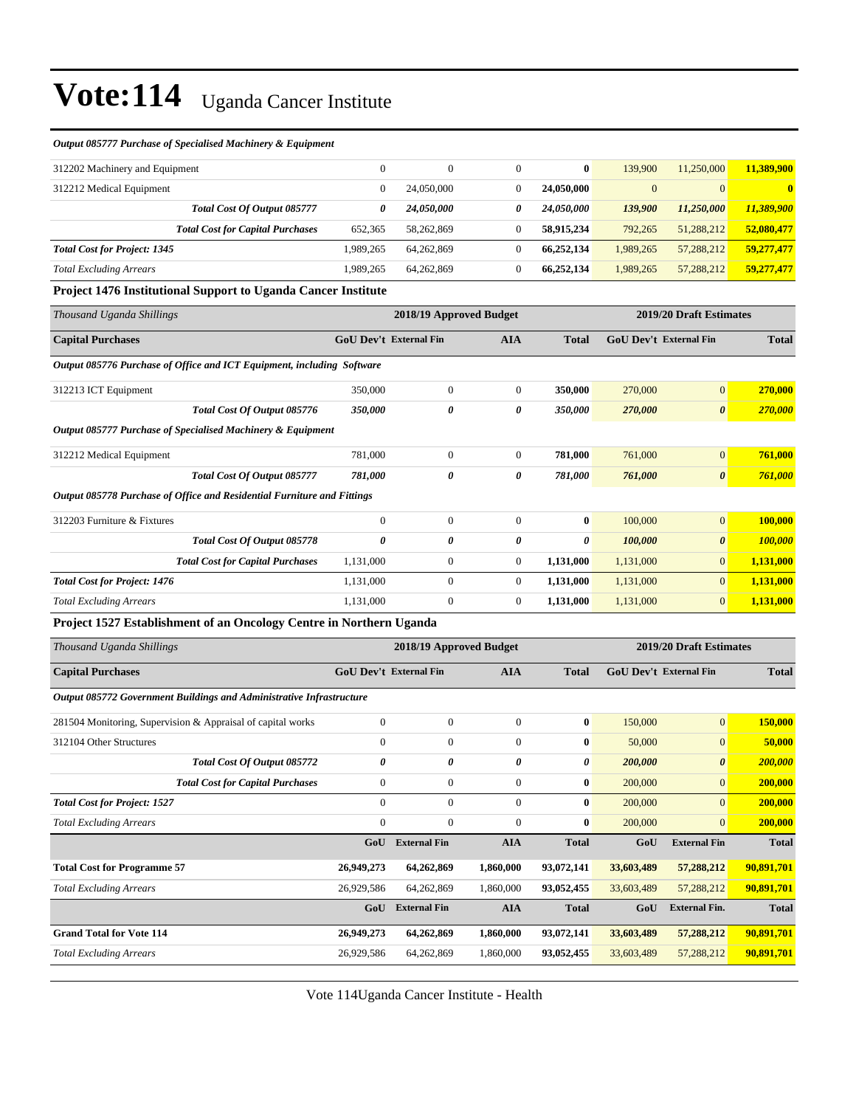#### *Output 085777 Purchase of Specialised Machinery & Equipment*

| 312202 Machinery and Equipment      |                                         | $\mathbf{0}$ | 0          | $\bf{0}$                 | 139.900        | 11,250,000     | 11,389,900 |
|-------------------------------------|-----------------------------------------|--------------|------------|--------------------------|----------------|----------------|------------|
| 312212 Medical Equipment            |                                         |              | 24,050,000 | 24,050,000               | $\overline{0}$ | $\overline{0}$ | 0          |
|                                     | <b>Total Cost Of Output 085777</b>      | 0            | 24,050,000 | <i><b>24.050.000</b></i> | 139,900        | 11,250,000     | 11,389,900 |
|                                     | <b>Total Cost for Capital Purchases</b> | 652.365      | 58.262.869 | 58.915.234               | 792,265        | 51,288,212     | 52,080,477 |
| <b>Total Cost for Project: 1345</b> |                                         | 1.989.265    | 64.262.869 | 66.252.134               | 1,989,265      | 57,288,212     | 59.277.477 |
| <b>Total Excluding Arrears</b>      |                                         | 1.989.265    | 64.262.869 | 66.252.134               | 1,989,265      | 57,288,212     | 59.277.477 |

#### **Project 1476 Institutional Support to Uganda Cancer Institute**

| Thousand Uganda Shillings                                               | 2018/19 Approved Budget       |                  |                |              | 2019/20 Draft Estimates       |                       |                |
|-------------------------------------------------------------------------|-------------------------------|------------------|----------------|--------------|-------------------------------|-----------------------|----------------|
| <b>Capital Purchases</b>                                                | <b>GoU Dev't External Fin</b> |                  | <b>AIA</b>     | <b>Total</b> | <b>GoU Dev't External Fin</b> |                       | <b>Total</b>   |
| Output 085776 Purchase of Office and ICT Equipment, including Software  |                               |                  |                |              |                               |                       |                |
| 312213 ICT Equipment                                                    | 350,000                       | $\mathbf{0}$     | $\overline{0}$ | 350,000      | 270,000                       | $\mathbf{0}$          | 270,000        |
| Total Cost Of Output 085776                                             | 350,000                       | 0                | 0              | 350,000      | 270,000                       | $\boldsymbol{\theta}$ | 270,000        |
| Output 085777 Purchase of Specialised Machinery & Equipment             |                               |                  |                |              |                               |                       |                |
| 312212 Medical Equipment                                                | 781,000                       | $\mathbf{0}$     | $\overline{0}$ | 781,000      | 761,000                       | $\mathbf{0}$          | 761,000        |
| Total Cost Of Output 085777                                             | 781,000                       | 0                | 0              | 781,000      | 761,000                       | $\boldsymbol{\theta}$ | 761,000        |
| Output 085778 Purchase of Office and Residential Furniture and Fittings |                               |                  |                |              |                               |                       |                |
| 312203 Furniture & Fixtures                                             | $\mathbf{0}$                  | $\mathbf{0}$     | $\overline{0}$ | $\bf{0}$     | 100,000                       | $\mathbf{0}$          | 100,000        |
| Total Cost Of Output 085778                                             | 0                             | 0                | 0              | 0            | 100,000                       | $\boldsymbol{\theta}$ | <b>100,000</b> |
| <b>Total Cost for Capital Purchases</b>                                 | 1,131,000                     | $\mathbf{0}$     | $\overline{0}$ | 1,131,000    | 1,131,000                     | $\mathbf{0}$          | 1,131,000      |
| <b>Total Cost for Project: 1476</b>                                     | 1,131,000                     | $\mathbf{0}$     | $\overline{0}$ | 1,131,000    | 1,131,000                     | $\overline{0}$        | 1,131,000      |
| <b>Total Excluding Arrears</b>                                          | 1,131,000                     | $\boldsymbol{0}$ | $\overline{0}$ | 1,131,000    | 1,131,000                     | $\mathbf{0}$          | 1,131,000      |

#### **Project 1527 Establishment of an Oncology Centre in Northern Uganda**

| Thousand Uganda Shillings                                            | 2018/19 Approved Budget       |                     |                |                       | 2019/20 Draft Estimates       |                       |              |
|----------------------------------------------------------------------|-------------------------------|---------------------|----------------|-----------------------|-------------------------------|-----------------------|--------------|
| <b>Capital Purchases</b>                                             | <b>GoU Dev't External Fin</b> |                     | <b>AIA</b>     | <b>Total</b>          | <b>GoU</b> Dev't External Fin |                       | <b>Total</b> |
| Output 085772 Government Buildings and Administrative Infrastructure |                               |                     |                |                       |                               |                       |              |
| 281504 Monitoring, Supervision & Appraisal of capital works          | $\mathbf{0}$                  | $\mathbf{0}$        | $\mathbf{0}$   | $\bf{0}$              | 150,000                       | $\mathbf{0}$          | 150,000      |
| 312104 Other Structures                                              | $\mathbf{0}$                  | $\boldsymbol{0}$    | $\overline{0}$ | $\bf{0}$              | 50,000                        | $\mathbf{0}$          | 50,000       |
| Total Cost Of Output 085772                                          | $\theta$                      | 0                   | 0              | $\boldsymbol{\theta}$ | 200,000                       | $\boldsymbol{\theta}$ | 200,000      |
| <b>Total Cost for Capital Purchases</b>                              | $\mathbf{0}$                  | $\mathbf{0}$        | $\mathbf{0}$   | $\bf{0}$              | 200,000                       | $\overline{0}$        | 200,000      |
| <b>Total Cost for Project: 1527</b>                                  | $\Omega$                      | $\mathbf{0}$        | $\Omega$       | $\bf{0}$              | 200,000                       | $\overline{0}$        | 200,000      |
| <b>Total Excluding Arrears</b>                                       | $\mathbf{0}$                  | $\boldsymbol{0}$    | $\mathbf{0}$   | $\bf{0}$              | 200,000                       | $\overline{0}$        | 200,000      |
|                                                                      | GoU                           | <b>External Fin</b> | <b>AIA</b>     | <b>Total</b>          | GoU                           | <b>External Fin</b>   | <b>Total</b> |
| <b>Total Cost for Programme 57</b>                                   | 26,949,273                    | 64,262,869          | 1,860,000      | 93,072,141            | 33,603,489                    | 57,288,212            | 90,891,701   |
| <b>Total Excluding Arrears</b>                                       | 26,929,586                    | 64,262,869          | 1,860,000      | 93,052,455            | 33,603,489                    | 57,288,212            | 90,891,701   |
|                                                                      | GoU                           | <b>External Fin</b> | <b>AIA</b>     | <b>Total</b>          | GoU                           | <b>External Fin.</b>  | <b>Total</b> |
| <b>Grand Total for Vote 114</b>                                      | 26,949,273                    | 64,262,869          | 1,860,000      | 93,072,141            | 33,603,489                    | 57,288,212            | 90,891,701   |
| <b>Total Excluding Arrears</b>                                       | 26,929,586                    | 64,262,869          | 1,860,000      | 93,052,455            | 33,603,489                    | 57,288,212            | 90,891,701   |

Vote 114Uganda Cancer Institute - Health